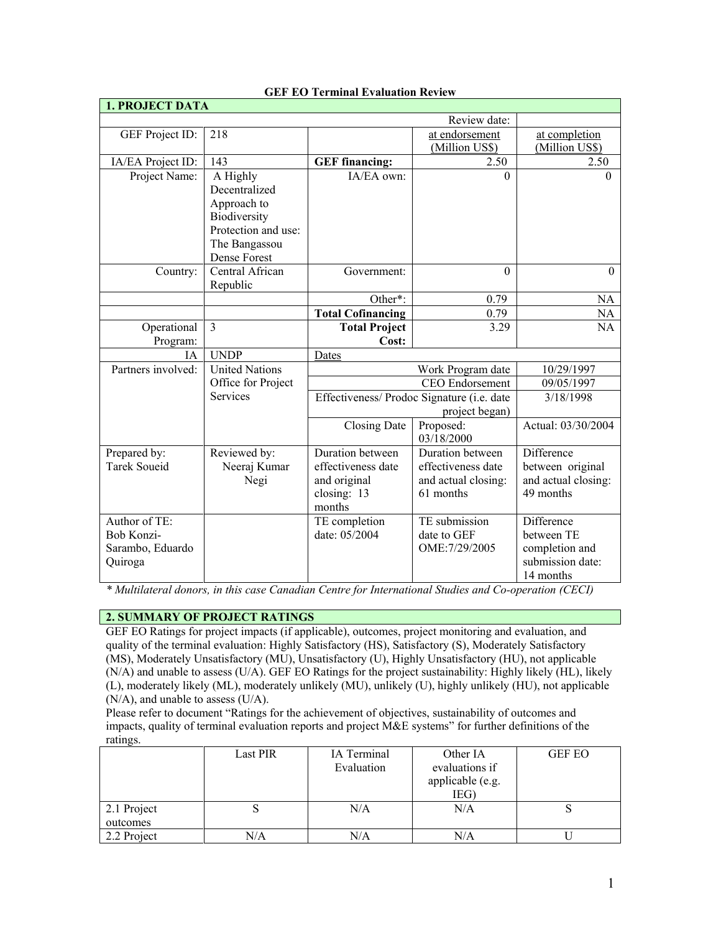| <b>1. PROJECT DATA</b> |                                       |                                            |                         |                          |
|------------------------|---------------------------------------|--------------------------------------------|-------------------------|--------------------------|
|                        |                                       | Review date:                               |                         |                          |
| GEF Project ID:        | 218                                   |                                            | at endorsement          | at completion            |
|                        |                                       |                                            | (Million US\$)          | (Million US\$)           |
| IA/EA Project ID:      | 143                                   | <b>GEF</b> financing:                      | 2.50                    | 2.50                     |
| Project Name:          | A Highly                              | IA/EA own:                                 | $\Omega$                | $\Omega$                 |
|                        | Decentralized                         |                                            |                         |                          |
|                        | Approach to                           |                                            |                         |                          |
|                        | Biodiversity                          |                                            |                         |                          |
|                        | Protection and use:                   |                                            |                         |                          |
|                        | The Bangassou                         |                                            |                         |                          |
|                        | Dense Forest                          |                                            |                         |                          |
| Country:               | Central African                       | Government:                                | $\Omega$                | $\Omega$                 |
|                        | Republic                              |                                            |                         |                          |
|                        |                                       | Other*:                                    | 0.79                    | NA                       |
|                        |                                       | <b>Total Cofinancing</b>                   | 0.79                    | <b>NA</b>                |
| Operational            | $\overline{3}$                        | <b>Total Project</b>                       | 3.29                    | NA                       |
| Program:               |                                       | Cost:                                      |                         |                          |
| IA                     | <b>UNDP</b>                           | Dates                                      |                         |                          |
| Partners involved:     | <b>United Nations</b>                 | Work Program date                          |                         | 10/29/1997<br>09/05/1997 |
|                        | Office for Project<br><b>Services</b> |                                            | <b>CEO</b> Endorsement  |                          |
|                        |                                       | Effectiveness/ Prodoc Signature (i.e. date |                         | 3/18/1998                |
|                        |                                       |                                            | project began)          |                          |
|                        |                                       | Closing Date                               | Proposed:<br>03/18/2000 | Actual: 03/30/2004       |
| Prepared by:           | Reviewed by:                          | Duration between                           | Duration between        | Difference               |
| <b>Tarek Soueid</b>    | Neeraj Kumar                          | effectiveness date                         | effectiveness date      | between original         |
|                        | Negi                                  | and original                               | and actual closing:     | and actual closing:      |
|                        |                                       | closing: 13                                | 61 months               | 49 months                |
|                        |                                       | months                                     |                         |                          |
| Author of TE:          |                                       | TE completion                              | TE submission           | Difference               |
| Bob Konzi-             |                                       | date: 05/2004                              | date to GEF             | between TE               |
| Sarambo, Eduardo       |                                       |                                            | OME: 7/29/2005          | completion and           |
| Quiroga                |                                       |                                            |                         | submission date:         |
|                        |                                       |                                            |                         | 14 months                |

**GEF EO Terminal Evaluation Review** 

*\* Multilateral donors, in this case Canadian Centre for International Studies and Co-operation (CECI)*

# **2. SUMMARY OF PROJECT RATINGS**

GEF EO Ratings for project impacts (if applicable), outcomes, project monitoring and evaluation, and quality of the terminal evaluation: Highly Satisfactory (HS), Satisfactory (S), Moderately Satisfactory (MS), Moderately Unsatisfactory (MU), Unsatisfactory (U), Highly Unsatisfactory (HU), not applicable (N/A) and unable to assess (U/A). GEF EO Ratings for the project sustainability: Highly likely (HL), likely (L), moderately likely (ML), moderately unlikely (MU), unlikely (U), highly unlikely (HU), not applicable (N/A), and unable to assess (U/A).

Please refer to document "Ratings for the achievement of objectives, sustainability of outcomes and impacts, quality of terminal evaluation reports and project M&E systems" for further definitions of the ratings.

|             | Last PIR | IA Terminal<br>Evaluation | Other IA<br>evaluations if<br>applicable (e.g. | <b>GEF EO</b> |
|-------------|----------|---------------------------|------------------------------------------------|---------------|
|             |          |                           | IEG)                                           |               |
| 2.1 Project | د        | N/A                       | N/A                                            |               |
| outcomes    |          |                           |                                                |               |
| 2.2 Project | N/A      | $\rm N/A$                 | N/A                                            |               |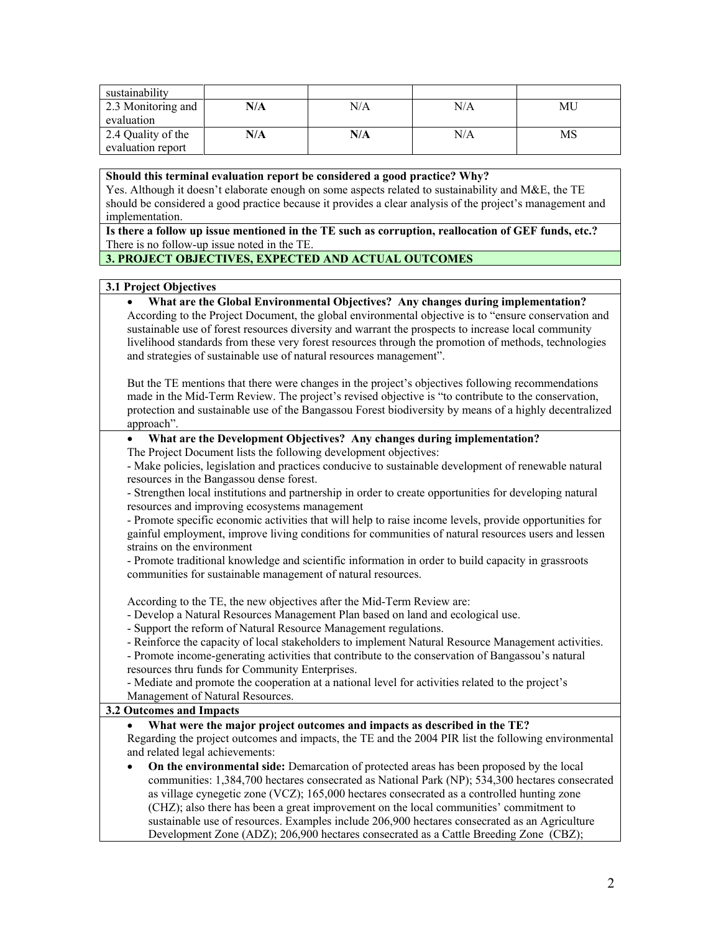| sustainability     |     |     |     |    |
|--------------------|-----|-----|-----|----|
| 2.3 Monitoring and | N/A | N/A | N/A | МU |
| evaluation         |     |     |     |    |
| 2.4 Quality of the | N/A | N/A | N/A | MS |
| evaluation report  |     |     |     |    |

#### **Should this terminal evaluation report be considered a good practice? Why?**

Yes. Although it doesn't elaborate enough on some aspects related to sustainability and M&E, the TE should be considered a good practice because it provides a clear analysis of the project's management and implementation.

**Is there a follow up issue mentioned in the TE such as corruption, reallocation of GEF funds, etc.?** There is no follow-up issue noted in the TE.

## **3. PROJECT OBJECTIVES, EXPECTED AND ACTUAL OUTCOMES**

### **3.1 Project Objectives**

• **What are the Global Environmental Objectives? Any changes during implementation?** According to the Project Document, the global environmental objective is to "ensure conservation and sustainable use of forest resources diversity and warrant the prospects to increase local community livelihood standards from these very forest resources through the promotion of methods, technologies and strategies of sustainable use of natural resources management".

But the TE mentions that there were changes in the project's objectives following recommendations made in the Mid-Term Review. The project's revised objective is "to contribute to the conservation, protection and sustainable use of the Bangassou Forest biodiversity by means of a highly decentralized approach".

#### • **What are the Development Objectives? Any changes during implementation?** The Project Document lists the following development objectives:

- Make policies, legislation and practices conducive to sustainable development of renewable natural resources in the Bangassou dense forest.

- Strengthen local institutions and partnership in order to create opportunities for developing natural resources and improving ecosystems management

- Promote specific economic activities that will help to raise income levels, provide opportunities for gainful employment, improve living conditions for communities of natural resources users and lessen strains on the environment

- Promote traditional knowledge and scientific information in order to build capacity in grassroots communities for sustainable management of natural resources.

According to the TE, the new objectives after the Mid-Term Review are:

- Develop a Natural Resources Management Plan based on land and ecological use.
- Support the reform of Natural Resource Management regulations.
- Reinforce the capacity of local stakeholders to implement Natural Resource Management activities.

- Promote income-generating activities that contribute to the conservation of Bangassou's natural resources thru funds for Community Enterprises.

- Mediate and promote the cooperation at a national level for activities related to the project's Management of Natural Resources.

### **3.2 Outcomes and Impacts**

### • **What were the major project outcomes and impacts as described in the TE?**

Regarding the project outcomes and impacts, the TE and the 2004 PIR list the following environmental and related legal achievements:

• **On the environmental side:** Demarcation of protected areas has been proposed by the local communities: 1,384,700 hectares consecrated as National Park (NP); 534,300 hectares consecrated as village cynegetic zone (VCZ); 165,000 hectares consecrated as a controlled hunting zone (CHZ); also there has been a great improvement on the local communities' commitment to sustainable use of resources. Examples include 206,900 hectares consecrated as an Agriculture Development Zone (ADZ); 206,900 hectares consecrated as a Cattle Breeding Zone (CBZ);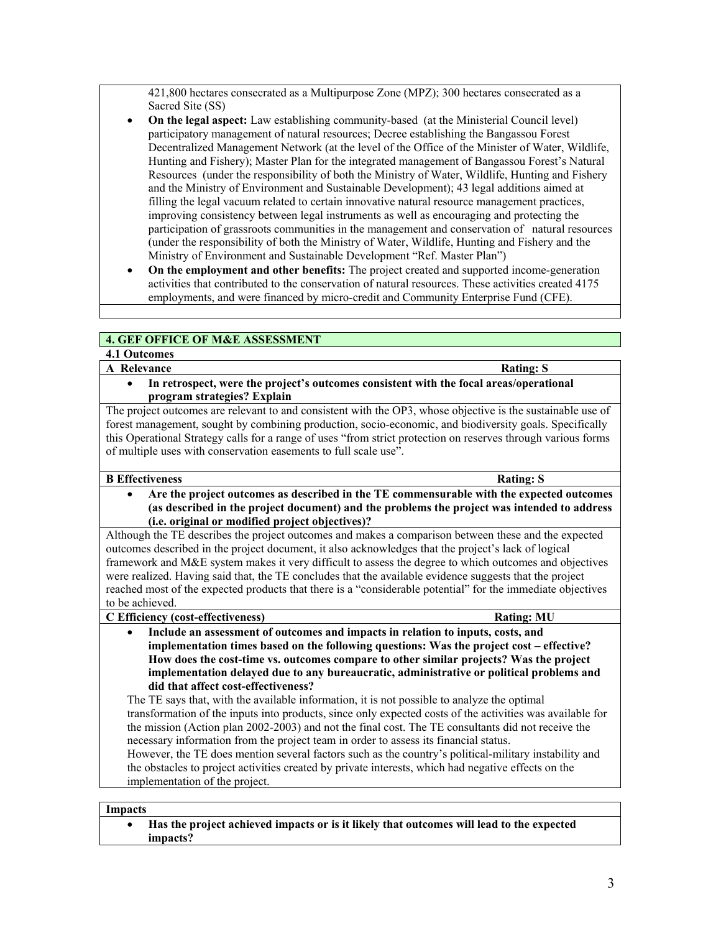421,800 hectares consecrated as a Multipurpose Zone (MPZ); 300 hectares consecrated as a Sacred Site (SS)

- **On the legal aspect:** Law establishing community-based (at the Ministerial Council level) participatory management of natural resources; Decree establishing the Bangassou Forest Decentralized Management Network (at the level of the Office of the Minister of Water, Wildlife, Hunting and Fishery); Master Plan for the integrated management of Bangassou Forest's Natural Resources (under the responsibility of both the Ministry of Water, Wildlife, Hunting and Fishery and the Ministry of Environment and Sustainable Development); 43 legal additions aimed at filling the legal vacuum related to certain innovative natural resource management practices, improving consistency between legal instruments as well as encouraging and protecting the participation of grassroots communities in the management and conservation of natural resources (under the responsibility of both the Ministry of Water, Wildlife, Hunting and Fishery and the Ministry of Environment and Sustainable Development "Ref. Master Plan")
- **On the employment and other benefits:** The project created and supported income-generation activities that contributed to the conservation of natural resources. These activities created 4175 employments, and were financed by micro-credit and Community Enterprise Fund (CFE).

## **4. GEF OFFICE OF M&E ASSESSMENT**

# **4.1 Outcomes**

## **A** Relevance Rating: S

• **In retrospect, were the project's outcomes consistent with the focal areas/operational program strategies? Explain**

The project outcomes are relevant to and consistent with the OP3, whose objective is the sustainable use of forest management, sought by combining production, socio-economic, and biodiversity goals. Specifically this Operational Strategy calls for a range of uses "from strict protection on reserves through various forms of multiple uses with conservation easements to full scale use".

### **B Effectiveness Rating: S**

• **Are the project outcomes as described in the TE commensurable with the expected outcomes (as described in the project document) and the problems the project was intended to address (i.e. original or modified project objectives)?** 

Although the TE describes the project outcomes and makes a comparison between these and the expected outcomes described in the project document, it also acknowledges that the project's lack of logical framework and M&E system makes it very difficult to assess the degree to which outcomes and objectives were realized. Having said that, the TE concludes that the available evidence suggests that the project reached most of the expected products that there is a "considerable potential" for the immediate objectives to be achieved.

### **C Efficiency (cost-effectiveness) Rating: MU**

• **Include an assessment of outcomes and impacts in relation to inputs, costs, and implementation times based on the following questions: Was the project cost – effective? How does the cost-time vs. outcomes compare to other similar projects? Was the project implementation delayed due to any bureaucratic, administrative or political problems and did that affect cost-effectiveness?** 

The TE says that, with the available information, it is not possible to analyze the optimal transformation of the inputs into products, since only expected costs of the activities was available for the mission (Action plan 2002-2003) and not the final cost. The TE consultants did not receive the necessary information from the project team in order to assess its financial status.

However, the TE does mention several factors such as the country's political-military instability and the obstacles to project activities created by private interests, which had negative effects on the implementation of the project.

# **Impacts**

• **Has the project achieved impacts or is it likely that outcomes will lead to the expected impacts?**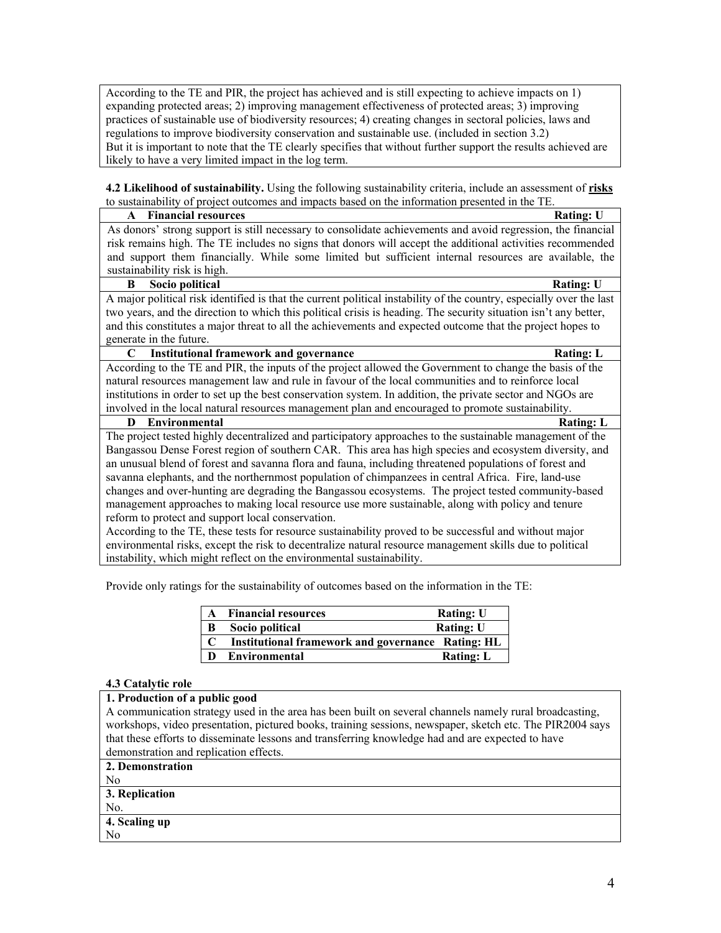According to the TE and PIR, the project has achieved and is still expecting to achieve impacts on 1) expanding protected areas; 2) improving management effectiveness of protected areas; 3) improving practices of sustainable use of biodiversity resources; 4) creating changes in sectoral policies, laws and regulations to improve biodiversity conservation and sustainable use. (included in section 3.2) But it is important to note that the TE clearly specifies that without further support the results achieved are likely to have a very limited impact in the log term.

**4.2 Likelihood of sustainability.** Using the following sustainability criteria, include an assessment of **risks** to sustainability of project outcomes and impacts based on the information presented in the TE.

| <b>Financial resources</b><br>$\mathbf{A}$                                                                           | <b>Rating: U</b> |  |
|----------------------------------------------------------------------------------------------------------------------|------------------|--|
| As donors' strong support is still necessary to consolidate achievements and avoid regression, the financial         |                  |  |
| risk remains high. The TE includes no signs that donors will accept the additional activities recommended            |                  |  |
| and support them financially. While some limited but sufficient internal resources are available, the                |                  |  |
| sustainability risk is high.                                                                                         |                  |  |
| Socio political<br>B                                                                                                 | <b>Rating: U</b> |  |
| A major political risk identified is that the current political instability of the country, especially over the last |                  |  |
| two years, and the direction to which this political crisis is heading. The security situation isn't any better,     |                  |  |
| and this constitutes a major threat to all the achievements and expected outcome that the project hopes to           |                  |  |
| generate in the future.                                                                                              |                  |  |
| C<br><b>Institutional framework and governance</b>                                                                   | <b>Rating: L</b> |  |
| According to the TE and PIR, the inputs of the project allowed the Government to change the basis of the             |                  |  |
| natural resources management law and rule in favour of the local communities and to reinforce local                  |                  |  |
| institutions in order to set up the best conservation system. In addition, the private sector and NGOs are           |                  |  |
| involved in the local natural resources management plan and encouraged to promote sustainability.                    |                  |  |
| Environmental<br>D                                                                                                   | <b>Rating: L</b> |  |
| The project tested highly decentralized and participatory approaches to the sustainable management of the            |                  |  |
| Bangassou Dense Forest region of southern CAR. This area has high species and ecosystem diversity, and               |                  |  |
| an unusual blend of forest and savanna flora and fauna, including threatened populations of forest and               |                  |  |
| savanna elephants, and the northernmost population of chimpanzees in central Africa. Fire, land-use                  |                  |  |
| changes and over-hunting are degrading the Bangassou ecosystems. The project tested community-based                  |                  |  |
| management approaches to making local resource use more sustainable, along with policy and tenure                    |                  |  |
| reform to protect and support local conservation.                                                                    |                  |  |
| According to the TE, these tests for resource sustainability proved to be successful and without major               |                  |  |
| environmental risks, except the risk to decentralize natural resource management skills due to political             |                  |  |
| instability, which might reflect on the environmental sustainability.                                                |                  |  |

Provide only ratings for the sustainability of outcomes based on the information in the TE:

| $\mathbf{A}$ | <b>Financial resources</b>                        | <b>Rating: U</b> |
|--------------|---------------------------------------------------|------------------|
| B            | Socio political                                   | <b>Rating: U</b> |
| C            | Institutional framework and governance Rating: HL |                  |
| D            | Environmental                                     | <b>Rating: L</b> |

### **4.3 Catalytic role**

## **1. Production of a public good**

A communication strategy used in the area has been built on several channels namely rural broadcasting, workshops, video presentation, pictured books, training sessions, newspaper, sketch etc. The PIR2004 says that these efforts to disseminate lessons and transferring knowledge had and are expected to have demonstration and replication effects.

**2. Demonstration**

#### No **3. Replication**

No.

**4. Scaling up** No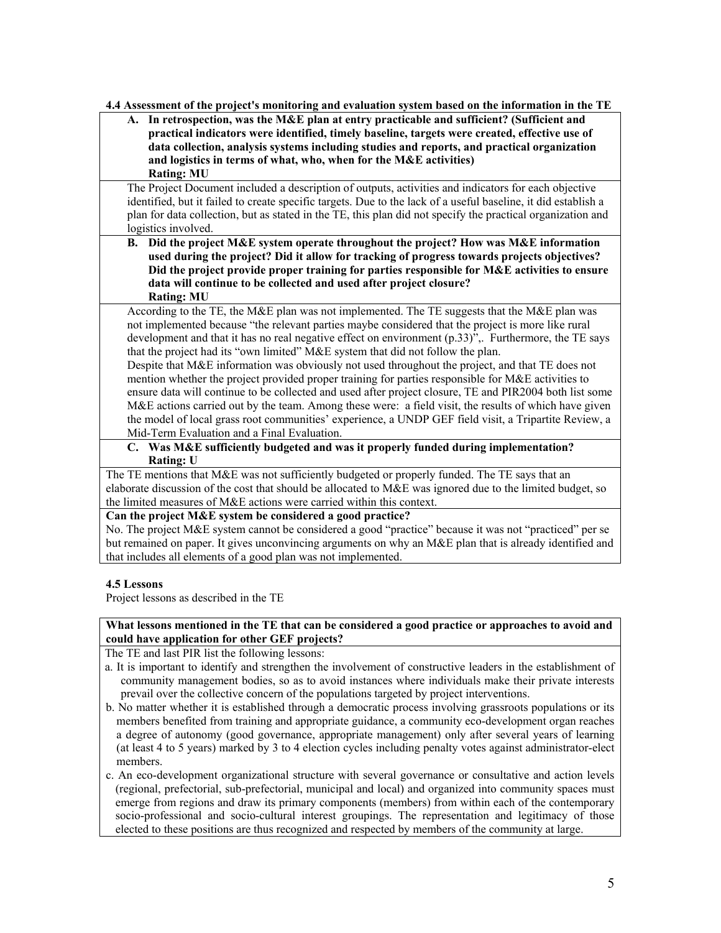### **4.4 Assessment of the project's monitoring and evaluation system based on the information in the TE**

**A. In retrospection, was the M&E plan at entry practicable and sufficient? (Sufficient and practical indicators were identified, timely baseline, targets were created, effective use of data collection, analysis systems including studies and reports, and practical organization and logistics in terms of what, who, when for the M&E activities) Rating: MU**

The Project Document included a description of outputs, activities and indicators for each objective identified, but it failed to create specific targets. Due to the lack of a useful baseline, it did establish a plan for data collection, but as stated in the TE, this plan did not specify the practical organization and logistics involved.

**B. Did the project M&E system operate throughout the project? How was M&E information used during the project? Did it allow for tracking of progress towards projects objectives? Did the project provide proper training for parties responsible for M&E activities to ensure data will continue to be collected and used after project closure? Rating: MU**

According to the TE, the M&E plan was not implemented. The TE suggests that the M&E plan was not implemented because "the relevant parties maybe considered that the project is more like rural development and that it has no real negative effect on environment (p.33)",. Furthermore, the TE says that the project had its "own limited" M&E system that did not follow the plan.

Despite that M&E information was obviously not used throughout the project, and that TE does not mention whether the project provided proper training for parties responsible for M&E activities to ensure data will continue to be collected and used after project closure, TE and PIR2004 both list some M&E actions carried out by the team. Among these were: a field visit, the results of which have given the model of local grass root communities' experience, a UNDP GEF field visit, a Tripartite Review, a Mid-Term Evaluation and a Final Evaluation.

**C. Was M&E sufficiently budgeted and was it properly funded during implementation? Rating: U**

The TE mentions that M&E was not sufficiently budgeted or properly funded. The TE says that an elaborate discussion of the cost that should be allocated to M&E was ignored due to the limited budget, so the limited measures of M&E actions were carried within this context.

### **Can the project M&E system be considered a good practice?**

No. The project M&E system cannot be considered a good "practice" because it was not "practiced" per se but remained on paper. It gives unconvincing arguments on why an M&E plan that is already identified and that includes all elements of a good plan was not implemented.

### **4.5 Lessons**

Project lessons as described in the TE

### **What lessons mentioned in the TE that can be considered a good practice or approaches to avoid and could have application for other GEF projects?**

The TE and last PIR list the following lessons:

- a. It is important to identify and strengthen the involvement of constructive leaders in the establishment of community management bodies, so as to avoid instances where individuals make their private interests prevail over the collective concern of the populations targeted by project interventions.
- b. No matter whether it is established through a democratic process involving grassroots populations or its members benefited from training and appropriate guidance, a community eco-development organ reaches a degree of autonomy (good governance, appropriate management) only after several years of learning (at least 4 to 5 years) marked by 3 to 4 election cycles including penalty votes against administrator-elect members.
- c. An eco-development organizational structure with several governance or consultative and action levels (regional, prefectorial, sub-prefectorial, municipal and local) and organized into community spaces must emerge from regions and draw its primary components (members) from within each of the contemporary socio-professional and socio-cultural interest groupings. The representation and legitimacy of those elected to these positions are thus recognized and respected by members of the community at large.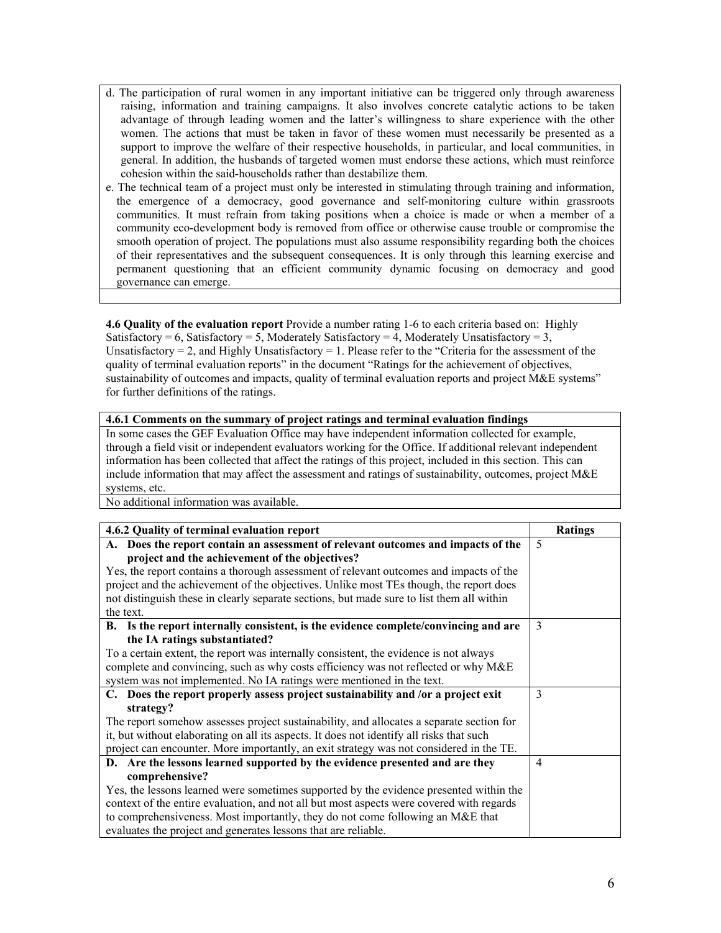- d. The participation of rural women in any important initiative can be triggered only through awareness raising, information and training campaigns. It also involves concrete catalytic actions to be taken advantage of through leading women and the latter's willingness to share experience with the other women. The actions that must be taken in favor of these women must necessarily be presented as a support to improve the welfare of their respective households, in particular, and local communities, in general. In addition, the husbands of targeted women must endorse these actions, which must reinforce cohesion within the said-households rather than destabilize them.
- e. The technical team of a project must only be interested in stimulating through training and information, the emergence of a democracy, good governance and self-monitoring culture within grassroots communities. It must refrain from taking positions when a choice is made or when a member of a community eco-development body is removed from office or otherwise cause trouble or compromise the smooth operation of project. The populations must also assume responsibility regarding both the choices of their representatives and the subsequent consequences. It is only through this learning exercise and permanent questioning that an efficient community dynamic focusing on democracy and good governance can emerge.

**4.6 Quality of the evaluation report** Provide a number rating 1-6 to each criteria based on: Highly Satisfactory = 6, Satisfactory = 5, Moderately Satisfactory = 4, Moderately Unsatisfactory = 3, Unsatisfactory = 2, and Highly Unsatisfactory = 1. Please refer to the "Criteria for the assessment of the quality of terminal evaluation reports" in the document "Ratings for the achievement of objectives, sustainability of outcomes and impacts, quality of terminal evaluation reports and project M&E systems" for further definitions of the ratings.

#### **4.6.1 Comments on the summary of project ratings and terminal evaluation findings**

In some cases the GEF Evaluation Office may have independent information collected for example, through a field visit or independent evaluators working for the Office. If additional relevant independent information has been collected that affect the ratings of this project, included in this section. This can include information that may affect the assessment and ratings of sustainability, outcomes, project M&E systems, etc.

No additional information was available.

| 4.6.2 Quality of terminal evaluation report                                               | <b>Ratings</b>          |
|-------------------------------------------------------------------------------------------|-------------------------|
| A. Does the report contain an assessment of relevant outcomes and impacts of the          | $\overline{\mathbf{5}}$ |
| project and the achievement of the objectives?                                            |                         |
| Yes, the report contains a thorough assessment of relevant outcomes and impacts of the    |                         |
| project and the achievement of the objectives. Unlike most TEs though, the report does    |                         |
| not distinguish these in clearly separate sections, but made sure to list them all within |                         |
| the text.                                                                                 |                         |
| B. Is the report internally consistent, is the evidence complete/convincing and are       | 3                       |
| the IA ratings substantiated?                                                             |                         |
| To a certain extent, the report was internally consistent, the evidence is not always     |                         |
| complete and convincing, such as why costs efficiency was not reflected or why M&E        |                         |
| system was not implemented. No IA ratings were mentioned in the text.                     |                         |
| C. Does the report properly assess project sustainability and /or a project exit          | 3                       |
| strategy?                                                                                 |                         |
| The report somehow assesses project sustainability, and allocates a separate section for  |                         |
| it, but without elaborating on all its aspects. It does not identify all risks that such  |                         |
| project can encounter. More importantly, an exit strategy was not considered in the TE.   |                         |
| D. Are the lessons learned supported by the evidence presented and are they               | $\overline{4}$          |
| comprehensive?                                                                            |                         |
| Yes, the lessons learned were sometimes supported by the evidence presented within the    |                         |
| context of the entire evaluation, and not all but most aspects were covered with regards  |                         |
| to comprehensiveness. Most importantly, they do not come following an M&E that            |                         |
| evaluates the project and generates lessons that are reliable.                            |                         |